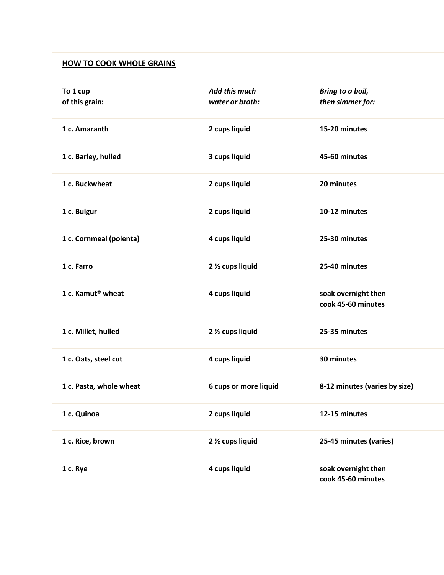| <b>HOW TO COOK WHOLE GRAINS</b> |                                  |                                           |
|---------------------------------|----------------------------------|-------------------------------------------|
| To 1 cup<br>of this grain:      | Add this much<br>water or broth: | Bring to a boil,<br>then simmer for:      |
| 1 c. Amaranth                   | 2 cups liquid                    | 15-20 minutes                             |
| 1 c. Barley, hulled             | 3 cups liquid                    | 45-60 minutes                             |
| 1 c. Buckwheat                  | 2 cups liquid                    | 20 minutes                                |
| 1 c. Bulgur                     | 2 cups liquid                    | 10-12 minutes                             |
| 1 c. Cornmeal (polenta)         | 4 cups liquid                    | 25-30 minutes                             |
| 1 c. Farro                      | 2 % cups liquid                  | 25-40 minutes                             |
| 1 c. Kamut <sup>®</sup> wheat   | 4 cups liquid                    | soak overnight then<br>cook 45-60 minutes |
| 1 c. Millet, hulled             | 2 1/2 cups liquid                | 25-35 minutes                             |
| 1 c. Oats, steel cut            | 4 cups liquid                    | 30 minutes                                |
| 1 c. Pasta, whole wheat         | 6 cups or more liquid            | 8-12 minutes (varies by size)             |
| 1 c. Quinoa                     | 2 cups liquid                    | 12-15 minutes                             |
| 1 c. Rice, brown                | 2 1/2 cups liquid                | 25-45 minutes (varies)                    |
| 1 c. Rye                        | 4 cups liquid                    | soak overnight then<br>cook 45-60 minutes |